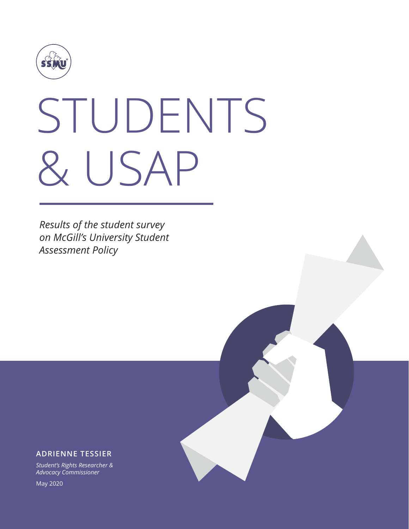

# STUDENTS & USAP

*Results of the student survey on McGill's University Student Assessment Policy*

#### **ADRIENNE TESSIER**

*Student's Rights Researcher & Advocacy Commissioner*

May 2020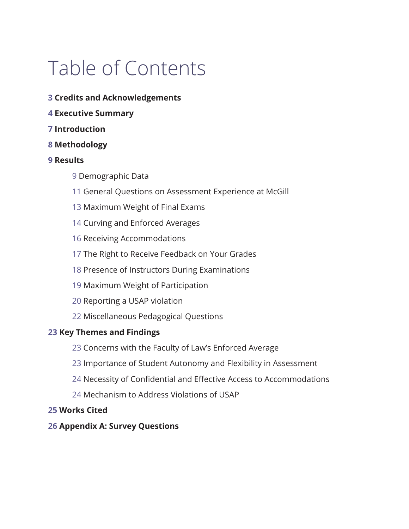# Table of Contents

- **[3 Credits and Acknowledgements](#page-2-0)**
- **[4 Executive Summary](#page-3-0)**
- **[7 Introduction](#page-6-0)**
- **[8 Methodology](#page-7-0)**

#### **[9 Results](#page-8-0)**

- [9 Demographic Data](#page-8-0)
- [11 General Questions on Assessment Experience at McGill](#page-10-0)
- [13 Maximum Weight of Final Exams](#page-12-0)
- [14 Curving and Enforced Averages](#page-13-0)
- [16 Receiving Accommodations](#page-15-0)
- [17 The Right to Receive Feedback on Your Grades](#page-16-0)
- [18 Presence of Instructors During Examinations](#page-17-0)
- [19 Maximum Weight of Participation](#page-18-0)
- [20 Reporting a USAP violation](#page-19-0)
- [22 Miscellaneous Pedagogical Questions](#page-21-0)

#### **[23 Key Themes and Findings](#page-22-0)**

- [23 Concerns with the Faculty of Law's Enforced Average](#page-22-0)
- [23 Importance of Student Autonomy and Flexibility in Assessment](#page-22-0)
- 24 [Necessity of Confidential and Effective Access to Accommodations](#page-23-0)
- [24 Mechanism to Address Violations of USAP](#page-23-0)

#### **[25 Works Cited](#page-24-0)**

#### **[26 Appendix A: Survey Questions](#page-25-0)**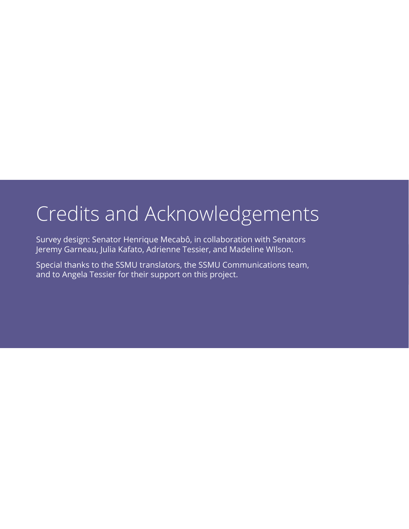### <span id="page-2-0"></span>Credits and Acknowledgements

Survey design: Senator Henrique Mecabô, in collaboration with Senators Jeremy Garneau, Julia Kafato, Adrienne Tessier, and Madeline WIlson.

Special thanks to the SSMU translators, the SSMU Communications team, and to Angela Tessier for their support on this project.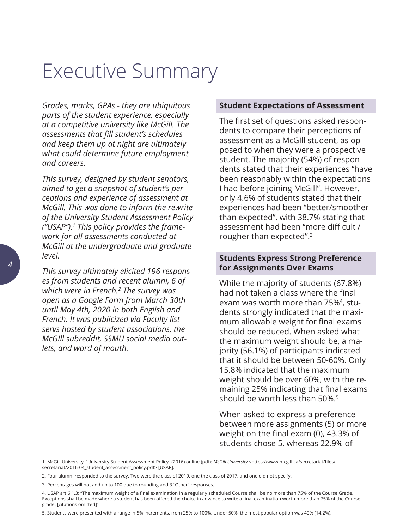### <span id="page-3-0"></span>Executive Summary

*Grades, marks, GPAs - they are ubiquitous parts of the student experience, especially at a competitive university like McGill. The assessments that fill student's schedules and keep them up at night are ultimately what could determine future employment and careers.* 

*This survey, designed by student senators, aimed to get a snapshot of student's perceptions and experience of assessment at McGill. This was done to inform the rewrite of the University Student Assessment Policy ("USAP").1 This policy provides the framework for all assessments conducted at McGill at the undergraduate and graduate level.* 

*This survey ultimately elicited 196 responses from students and recent alumni, 6 of which were in French.2 The survey was open as a Google Form from March 30th until May 4th, 2020 in both English and French. It was publicized via Faculty listservs hosted by student associations, the McGIll subreddit, SSMU social media outlets, and word of mouth.*

#### **Student Expectations of Assessment**

The first set of questions asked respondents to compare their perceptions of assessment as a McGIll student, as opposed to when they were a prospective student. The majority (54%) of respondents stated that their experiences "have been reasonably within the expectations I had before joining McGill". However, only 4.6% of students stated that their experiences had been "better/smoother than expected", with 38.7% stating that assessment had been "more difficult / rougher than expected".3

#### **Students Express Strong Preference for Assignments Over Exams**

While the majority of students (67.8%) had not taken a class where the final exam was worth more than 75%<sup>4</sup>, students strongly indicated that the maximum allowable weight for final exams should be reduced. When asked what the maximum weight should be, a majority (56.1%) of participants indicated that it should be between 50-60%. Only 15.8% indicated that the maximum weight should be over 60%, with the remaining 25% indicating that final exams should be worth less than 50%.<sup>5</sup>

When asked to express a preference between more assignments (5) or more weight on the final exam (0), 43.3% of students chose 5, whereas 22.9% of

1. McGill University, "University Student Assessment Policy" (2016) online (pdf): *McGill University* <[https://www.mcgill.ca/secretariat/files/](https://www.mcgill.ca/secretariat/files/secretariat/2016-04_student_assessment_policy.pdf) [secretariat/2016-04\\_student\\_assessment\\_policy.pdf](https://www.mcgill.ca/secretariat/files/secretariat/2016-04_student_assessment_policy.pdf)> [USAP].

5. Students were presented with a range in 5% increments, from 25% to 100%. Under 50%, the most popular option was 40% (14.2%).

<sup>2.</sup> Four alumni responded to the survey. Two were the class of 2019, one the class of 2017, and one did not specify.

<sup>3.</sup> Percentages will not add up to 100 due to rounding and 3 "Other" responses.

<sup>4.</sup> USAP art 6.1.3: "The maximum weight of a final examination in a regularly scheduled Course shall be no more than 75% of the Course Grade. Exceptions shall be made where a student has been offered the choice in advance to write a final examination worth more than 75% of the Course grade. [citations omitted]".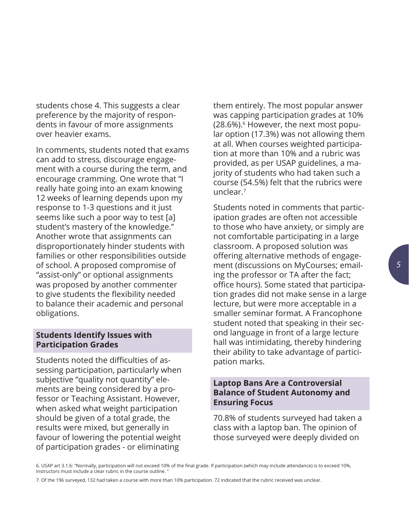students chose 4. This suggests a clear preference by the majority of respondents in favour of more assignments over heavier exams.

In comments, students noted that exams can add to stress, discourage engagement with a course during the term, and encourage cramming. One wrote that "I really hate going into an exam knowing 12 weeks of learning depends upon my response to 1-3 questions and it just seems like such a poor way to test [a] student's mastery of the knowledge." Another wrote that assignments can disproportionately hinder students with families or other responsibilities outside of school. A proposed compromise of "assist-only" or optional assignments was proposed by another commenter to give students the flexibility needed to balance their academic and personal obligations.

#### **Students Identify Issues with Participation Grades**

Students noted the difficulties of assessing participation, particularly when subjective "quality not quantity" elements are being considered by a professor or Teaching Assistant. However, when asked what weight participation should be given of a total grade, the results were mixed, but generally in favour of lowering the potential weight of participation grades - or eliminating

them entirely. The most popular answer was capping participation grades at 10% (28.6%).6 However, the next most popular option (17.3%) was not allowing them at all. When courses weighted participation at more than 10% and a rubric was provided, as per USAP guidelines, a majority of students who had taken such a course (54.5%) felt that the rubrics were unclear.7

Students noted in comments that participation grades are often not accessible to those who have anxiety, or simply are not comfortable participating in a large classroom. A proposed solution was offering alternative methods of engagement (discussions on MyCourses; emailing the professor or TA after the fact; office hours). Some stated that participation grades did not make sense in a large lecture, but were more acceptable in a smaller seminar format. A Francophone student noted that speaking in their second language in front of a large lecture hall was intimidating, thereby hindering their ability to take advantage of participation marks.

#### **Laptop Bans Are a Controversial Balance of Student Autonomy and Ensuring Focus**

70.8% of students surveyed had taken a class with a laptop ban. The opinion of those surveyed were deeply divided on

6. USAP art 3.1.6: "Normally, participation will not exceed 10% of the final grade. If participation (which may include attendance) is to exceed 10%, instructors must include a clear rubric in the course outline.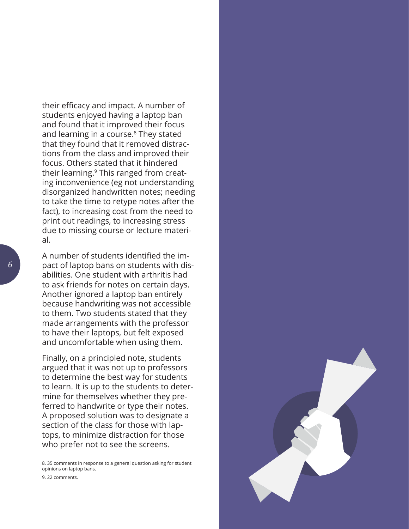their efficacy and impact. A number of students enjoyed having a laptop ban and found that it improved their focus and learning in a course.<sup>8</sup> They stated that they found that it removed distractions from the class and improved their focus. Others stated that it hindered their learning.9 This ranged from creating inconvenience (eg not understanding disorganized handwritten notes; needing to take the time to retype notes after the fact), to increasing cost from the need to print out readings, to increasing stress due to missing course or lecture material.

A number of students identified the impact of laptop bans on students with disabilities. One student with arthritis had to ask friends for notes on certain days. Another ignored a laptop ban entirely because handwriting was not accessible to them. Two students stated that they made arrangements with the professor to have their laptops, but felt exposed and uncomfortable when using them.

Finally, on a principled note, students argued that it was not up to professors to determine the best way for students to learn. It is up to the students to determine for themselves whether they preferred to handwrite or type their notes. A proposed solution was to designate a section of the class for those with laptops, to minimize distraction for those who prefer not to see the screens.

8. 35 comments in response to a general question asking for student opinions on laptop bans.

9. 22 comments.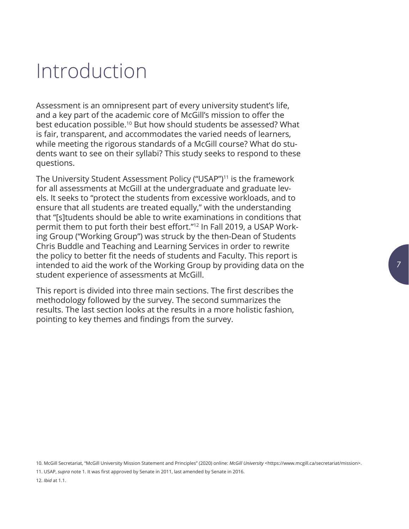## <span id="page-6-0"></span>Introduction

Assessment is an omnipresent part of every university student's life, and a key part of the academic core of McGill's mission to offer the best education possible.10 But how should students be assessed? What is fair, transparent, and accommodates the varied needs of learners, while meeting the rigorous standards of a McGill course? What do students want to see on their syllabi? This study seeks to respond to these questions.

The University Student Assessment Policy ("USAP")<sup>11</sup> is the framework for all assessments at McGill at the undergraduate and graduate levels. It seeks to "protect the students from excessive workloads, and to ensure that all students are treated equally," with the understanding that "[s]tudents should be able to write examinations in conditions that permit them to put forth their best effort."12 In Fall 2019, a USAP Working Group ("Working Group") was struck by the then-Dean of Students Chris Buddle and Teaching and Learning Services in order to rewrite the policy to better fit the needs of students and Faculty. This report is intended to aid the work of the Working Group by providing data on the student experience of assessments at McGill.

This report is divided into three main sections. The first describes the methodology followed by the survey. The second summarizes the results. The last section looks at the results in a more holistic fashion, pointing to key themes and findings from the survey.

10. McGill Secretariat, "McGill University Mission Statement and Principles" (2020) online: *McGill University* <https://www.mcgill.ca/secretariat/mission>.

11. USAP, *supra* note 1. It was first approved by Senate in 2011, last amended by Senate in 2016. 12. *Ibid* at 1.1.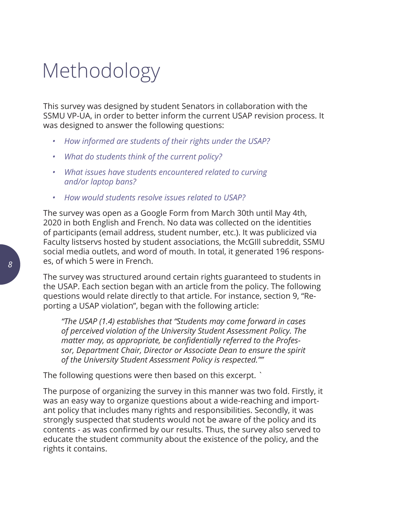### <span id="page-7-0"></span>Methodology

This survey was designed by student Senators in collaboration with the SSMU VP-UA, in order to better inform the current USAP revision process. It was designed to answer the following questions:

- *• How informed are students of their rights under the USAP?*
- *• What do students think of the current policy?*
- *• What issues have students encountered related to curving and/or laptop bans?*
- *• How would students resolve issues related to USAP?*

The survey was open as a Google Form from March 30th until May 4th, 2020 in both English and French. No data was collected on the identities of participants (email address, student number, etc.). It was publicized via Faculty listservs hosted by student associations, the McGIll subreddit, SSMU social media outlets, and word of mouth. In total, it generated 196 responses, of which 5 were in French.

The survey was structured around certain rights guaranteed to students in the USAP. Each section began with an article from the policy. The following questions would relate directly to that article. For instance, section 9, "Reporting a USAP violation", began with the following article:

*"The USAP (1.4) establishes that "Students may come forward in cases of perceived violation of the University Student Assessment Policy. The matter may, as appropriate, be confidentially referred to the Professor, Department Chair, Director or Associate Dean to ensure the spirit of the University Student Assessment Policy is respected.""*

The following questions were then based on this excerpt. `

The purpose of organizing the survey in this manner was two fold. Firstly, it was an easy way to organize questions about a wide-reaching and important policy that includes many rights and responsibilities. Secondly, it was strongly suspected that students would not be aware of the policy and its contents - as was confirmed by our results. Thus, the survey also served to educate the student community about the existence of the policy, and the rights it contains.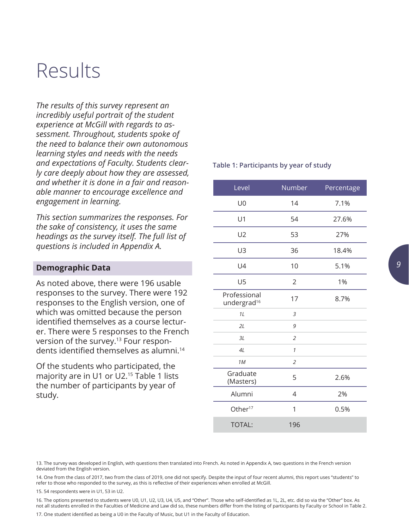### <span id="page-8-0"></span>Results

*The results of this survey represent an incredibly useful portrait of the student experience at McGill with regards to assessment. Throughout, students spoke of the need to balance their own autonomous learning styles and needs with the needs and expectations of Faculty. Students clearly care deeply about how they are assessed, and whether it is done in a fair and reasonable manner to encourage excellence and engagement in learning.* 

*This section summarizes the responses. For the sake of consistency, it uses the same headings as the survey itself. The full list of questions is included in Appendix A.* 

#### **Demographic Data**

As noted above, there were 196 usable responses to the survey. There were 192 responses to the English version, one of which was omitted because the person identified themselves as a course lecturer. There were 5 responses to the French version of the survey.<sup>13</sup> Four respondents identified themselves as alumni.<sup>14</sup>

Of the students who participated, the majority are in U1 or U2.15 Table 1 lists the number of participants by year of study.

#### **Table 1: Participants by year of study**

| Level                                   | Number         | Percentage |
|-----------------------------------------|----------------|------------|
| U <sub>0</sub>                          | 14             | 7.1%       |
| U1                                      | 54             | 27.6%      |
| U <sub>2</sub>                          | 53             | 27%        |
| U3                                      | 36             | 18.4%      |
| U4                                      | 10             | 5.1%       |
| U <sub>5</sub>                          | 2              | 1%         |
| Professional<br>undergrad <sup>16</sup> | 17             | 8.7%       |
| 1L                                      | 3              |            |
| 2L                                      | 9              |            |
| 3L                                      | $\overline{2}$ |            |
| 4L                                      | $\mathcal{I}$  |            |
| 1M                                      | $\overline{2}$ |            |
| Graduate<br>(Masters)                   | 5              | 2.6%       |
| Alumni                                  | 4              | 2%         |
| Other <sup>17</sup>                     | 1              | 0.5%       |
| <b>TOTAL:</b>                           | 196            |            |

13. The survey was developed in English, with questions then translated into French. As noted in Appendix A, two questions in the French version deviated from the English version.

14. One from the class of 2017, two from the class of 2019, one did not specify. Despite the input of four recent alumni, this report uses "students" to refer to those who responded to the survey, as this is reflective of their experiences when enrolled at McGill.

15. 54 respondents were in U1, 53 in U2.

16. The options presented to students were U0, U1, U2, U3, U4, U5, and "Other". Those who self-identified as 1L, 2L, etc. did so via the "Other" box. As not all students enrolled in the Faculties of Medicine and Law did so, these numbers differ from the listing of participants by Faculty or School in Table 2.

17. One student identified as being a U0 in the Faculty of Music, but U1 in the Faculty of Education.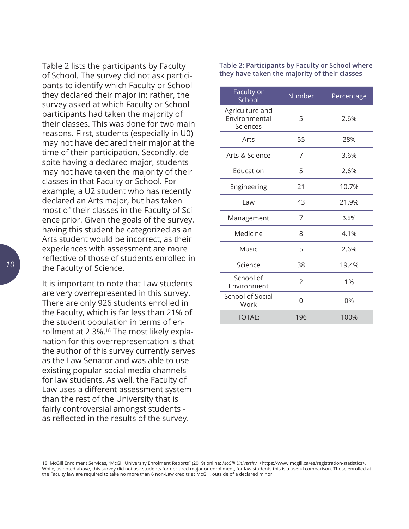Table 2 lists the participants by Faculty of School. The survey did not ask participants to identify which Faculty or School they declared their major in; rather, the survey asked at which Faculty or School participants had taken the majority of their classes. This was done for two main reasons. First, students (especially in U0) may not have declared their major at the time of their participation. Secondly, despite having a declared major, students may not have taken the majority of their classes in that Faculty or School. For example, a U2 student who has recently declared an Arts major, but has taken most of their classes in the Faculty of Science prior. Given the goals of the survey, having this student be categorized as an Arts student would be incorrect, as their experiences with assessment are more reflective of those of students enrolled in the Faculty of Science.

It is important to note that Law students are very overrepresented in this survey. There are only 926 students enrolled in the Faculty, which is far less than 21% of the student population in terms of enrollment at 2.3%.<sup>18</sup> The most likely explanation for this overrepresentation is that the author of this survey currently serves as the Law Senator and was able to use existing popular social media channels for law students. As well, the Faculty of Law uses a different assessment system than the rest of the University that is fairly controversial amongst students as reflected in the results of the survey.

**Table 2: Participants by Faculty or School where they have taken the majority of their classes**

| Faculty or<br>School                         | Number | Percentage |
|----------------------------------------------|--------|------------|
| Agriculture and<br>Environmental<br>Sciences | 5      | 2.6%       |
| Arts                                         | 55     | 28%        |
| Arts & Science                               | 7      | 3.6%       |
| Education                                    | 5      | 2.6%       |
| Engineering                                  | 21     | 10.7%      |
| Law                                          | 43     | 21.9%      |
| Management                                   | 7      | 3.6%       |
| Medicine                                     | 8      | 4.1%       |
| Music                                        | 5      | 2.6%       |
| Science                                      | 38     | 19.4%      |
| School of<br>Environment                     | 2      | 1%         |
| <b>School of Social</b><br>Work              | N      | 0%         |
| <b>TOTAL:</b>                                | 196    | 100%       |

<sup>18.</sup> McGill Enrolment Services, "McGill University Enrolment Reports" (2019) online: *McGill University* <[https://www.mcgill.ca/es/registration-statistics>](https://www.mcgill.ca/es/registration-statistics). While, as noted above, this survey did not ask students for declared major or enrollment, for law students this is a useful comparison. Those enrolled at the Faculty law are required to take no more than 6 non-Law credits at McGill, outside of a declared minor.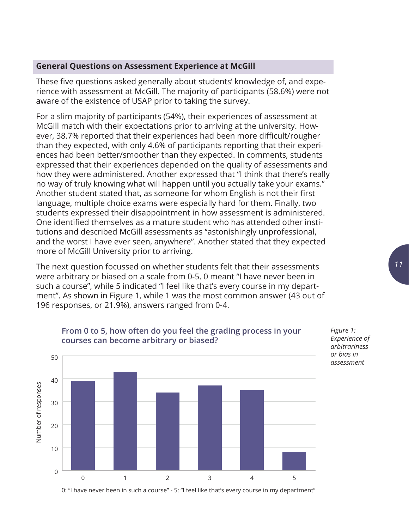#### <span id="page-10-0"></span>**General Questions on Assessment Experience at McGill**

These five questions asked generally about students' knowledge of, and experience with assessment at McGill. The majority of participants (58.6%) were not aware of the existence of USAP prior to taking the survey.

For a slim majority of participants (54%), their experiences of assessment at McGill match with their expectations prior to arriving at the university. However, 38.7% reported that their experiences had been more difficult/rougher than they expected, with only 4.6% of participants reporting that their experiences had been better/smoother than they expected. In comments, students expressed that their experiences depended on the quality of assessments and how they were administered. Another expressed that "I think that there's really no way of truly knowing what will happen until you actually take your exams." Another student stated that, as someone for whom English is not their first language, multiple choice exams were especially hard for them. Finally, two students expressed their disappointment in how assessment is administered. One identified themselves as a mature student who has attended other institutions and described McGill assessments as "astonishingly unprofessional, and the worst I have ever seen, anywhere". Another stated that they expected more of McGill University prior to arriving.

The next question focussed on whether students felt that their assessments were arbitrary or biased on a scale from 0-5. 0 meant "I have never been in such a course", while 5 indicated "I feel like that's every course in my department". As shown in Figure 1, while 1 was the most common answer (43 out of 196 responses, or 21.9%), answers ranged from 0-4.



#### **From 0 to 5, how often do you feel the grading process in your courses can become arbitrary or biased?**

0: "I have never been in such a course" - 5: "I feel like that's every course in my department"

*Figure 1: Experience of arbitrariness or bias in assessment*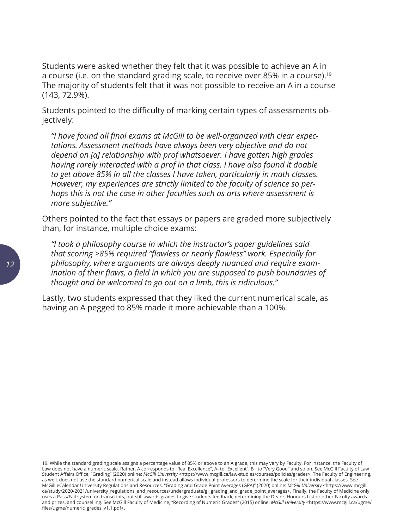Students were asked whether they felt that it was possible to achieve an A in a course (i.e. on the standard grading scale, to receive over 85% in a course).<sup>19</sup> The majority of students felt that it was not possible to receive an A in a course (143, 72.9%).

Students pointed to the difficulty of marking certain types of assessments objectively:

*"I have found all final exams at McGill to be well-organized with clear expectations. Assessment methods have always been very objective and do not depend on [a] relationship with prof whatsoever. I have gotten high grades having rarely interacted with a prof in that class. I have also found it doable to get above 85% in all the classes I have taken, particularly in math classes. However, my experiences are strictly limited to the faculty of science so perhaps this is not the case in other faculties such as arts where assessment is more subjective."*

Others pointed to the fact that essays or papers are graded more subjectively than, for instance, multiple choice exams:

*"I took a philosophy course in which the instructor's paper guidelines said that scoring >85% required "flawless or nearly flawless" work. Especially for philosophy, where arguments are always deeply nuanced and require examination of their flaws, a field in which you are supposed to push boundaries of thought and be welcomed to go out on a limb, this is ridiculous."*

Lastly, two students expressed that they liked the current numerical scale, as having an A pegged to 85% made it more achievable than a 100%.

19. While the standard grading scale assigns a percentage value of 85% or above to an A grade, this may vary by Faculty. For instance, the Faculty of Law does not have a numeric scale. Rather, A corresponds to "Real Excellence", A- to "Excellent", B+ to "Very Good" and so on. See McGill Faculty of Law Student Affairs Office, "Grading" (2020) online: *McGill University* <[https://www.mcgill.ca/law-studies/courses/policies/grades>](https://www.mcgill.ca/law-studies/courses/policies/grades). The Faculty of Engineering, as well, does not use the standard numerical scale and instead allows individual professors to determine the scale for their individual classes. See McGill eCalendar University Regulations and Resources, "Grading and Grade Point Averages (GPA)" (2020) online: *McGill University* <[https://www.mcgill.](https://www.mcgill.ca/study/2020-2021/university_regulations_and_resources/undergraduate/gi_grading_and_grade_point_averages) [ca/study/2020-2021/university\\_regulations\\_and\\_resources/undergraduate/gi\\_grading\\_and\\_grade\\_point\\_averages](https://www.mcgill.ca/study/2020-2021/university_regulations_and_resources/undergraduate/gi_grading_and_grade_point_averages)>. Finally, the Faculty of Medicine only uses a Pass/Fail system on transcripts, but still awards grades to give students feedback, determining the Dean's Honours List or other Faculty awards and prizes, and counselling. See McGill Faculty of Medicine, "Recording of Numeric Grades" (2015) online: *McGill University* <[https://www.mcgill.ca/ugme/](https://www.mcgill.ca/ugme/files/ugme/numeric_grades_v1.1.pdf) [files/ugme/numeric\\_grades\\_v1.1.pdf](https://www.mcgill.ca/ugme/files/ugme/numeric_grades_v1.1.pdf)>.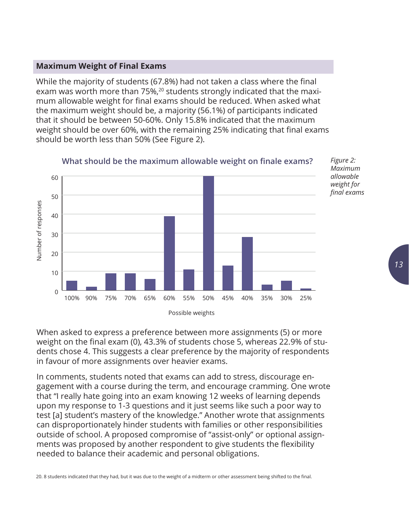#### <span id="page-12-0"></span>**Maximum Weight of Final Exams**

While the majority of students (67.8%) had not taken a class where the final exam was worth more than 75%,<sup>20</sup> students strongly indicated that the maximum allowable weight for final exams should be reduced. When asked what the maximum weight should be, a majority (56.1%) of participants indicated that it should be between 50-60%. Only 15.8% indicated that the maximum weight should be over 60%, with the remaining 25% indicating that final exams should be worth less than 50% (See Figure 2).



**What should be the maximum allowable weight on finale exams?**

When asked to express a preference between more assignments (5) or more weight on the final exam (0), 43.3% of students chose 5, whereas 22.9% of students chose 4. This suggests a clear preference by the majority of respondents in favour of more assignments over heavier exams.

In comments, students noted that exams can add to stress, discourage engagement with a course during the term, and encourage cramming. One wrote that "I really hate going into an exam knowing 12 weeks of learning depends upon my response to 1-3 questions and it just seems like such a poor way to test [a] student's mastery of the knowledge." Another wrote that assignments can disproportionately hinder students with families or other responsibilities outside of school. A proposed compromise of "assist-only" or optional assignments was proposed by another respondent to give students the flexibility needed to balance their academic and personal obligations.

20. 8 students indicated that they had, but it was due to the weight of a midterm or other assessment being shifted to the final.

*Figure 2: Maximum allowable weight for final exams*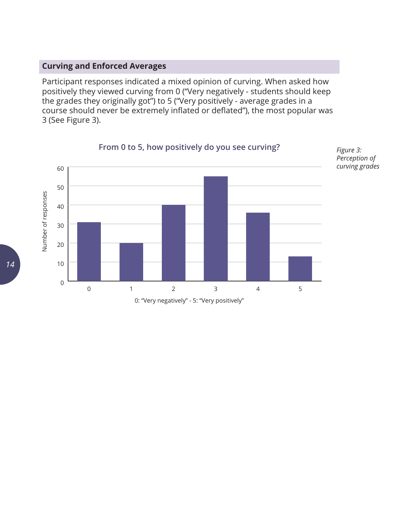#### <span id="page-13-0"></span>**Curving and Enforced Averages**

Participant responses indicated a mixed opinion of curving. When asked how positively they viewed curving from 0 ("Very negatively - students should keep the grades they originally got") to 5 ("Very positively - average grades in a course should never be extremely inflated or deflated"), the most popular was 3 (See Figure 3).



**From 0 to 5, how positively do you see curving?**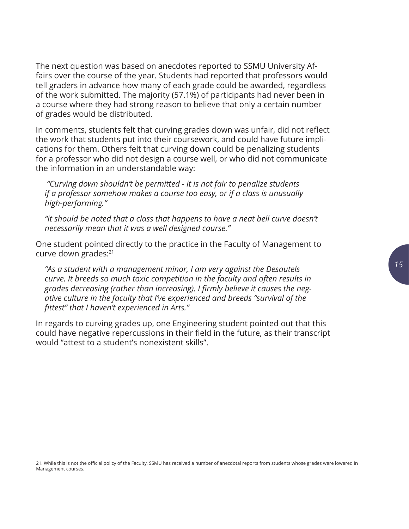The next question was based on anecdotes reported to SSMU University Affairs over the course of the year. Students had reported that professors would tell graders in advance how many of each grade could be awarded, regardless of the work submitted. The majority (57.1%) of participants had never been in a course where they had strong reason to believe that only a certain number of grades would be distributed.

In comments, students felt that curving grades down was unfair, did not reflect the work that students put into their coursework, and could have future implications for them. Others felt that curving down could be penalizing students for a professor who did not design a course well, or who did not communicate the information in an understandable way:

 *"Curving down shouldn't be permitted - it is not fair to penalize students if a professor somehow makes a course too easy, or if a class is unusually high-performing."* 

*"it should be noted that a class that happens to have a neat bell curve doesn't necessarily mean that it was a well designed course."*

One student pointed directly to the practice in the Faculty of Management to curve down grades:21

*"As a student with a management minor, I am very against the Desautels curve. It breeds so much toxic competition in the faculty and often results in grades decreasing (rather than increasing). I firmly believe it causes the negative culture in the faculty that I've experienced and breeds "survival of the fittest" that I haven't experienced in Arts."*

In regards to curving grades up, one Engineering student pointed out that this could have negative repercussions in their field in the future, as their transcript would "attest to a student's nonexistent skills".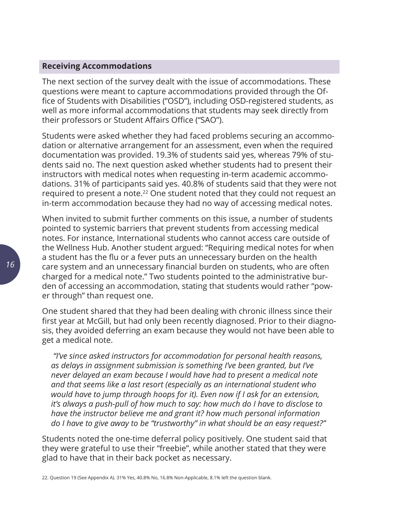#### <span id="page-15-0"></span>**Receiving Accommodations**

The next section of the survey dealt with the issue of accommodations. These questions were meant to capture accommodations provided through the Office of Students with Disabilities ("OSD"), including OSD-registered students, as well as more informal accommodations that students may seek directly from their professors or Student Affairs Office ("SAO").

Students were asked whether they had faced problems securing an accommodation or alternative arrangement for an assessment, even when the required documentation was provided. 19.3% of students said yes, whereas 79% of students said no. The next question asked whether students had to present their instructors with medical notes when requesting in-term academic accommodations. 31% of participants said yes. 40.8% of students said that they were not required to present a note.<sup>22</sup> One student noted that they could not request an in-term accommodation because they had no way of accessing medical notes.

When invited to submit further comments on this issue, a number of students pointed to systemic barriers that prevent students from accessing medical notes. For instance, International students who cannot access care outside of the Wellness Hub. Another student argued: "Requiring medical notes for when a student has the flu or a fever puts an unnecessary burden on the health care system and an unnecessary financial burden on students, who are often charged for a medical note." Two students pointed to the administrative burden of accessing an accommodation, stating that students would rather "power through" than request one.

One student shared that they had been dealing with chronic illness since their first year at McGill, but had only been recently diagnosed. Prior to their diagnosis, they avoided deferring an exam because they would not have been able to get a medical note.

 *"I've since asked instructors for accommodation for personal health reasons, as delays in assignment submission is something I've been granted, but I've never delayed an exam because I would have had to present a medical note and that seems like a last resort (especially as an international student who would have to jump through hoops for it). Even now if I ask for an extension, it's always a push-pull of how much to say: how much do I have to disclose to have the instructor believe me and grant it? how much personal information do I have to give away to be "trustworthy" in what should be an easy request?"*

Students noted the one-time deferral policy positively. One student said that they were grateful to use their "freebie", while another stated that they were glad to have that in their back pocket as necessary.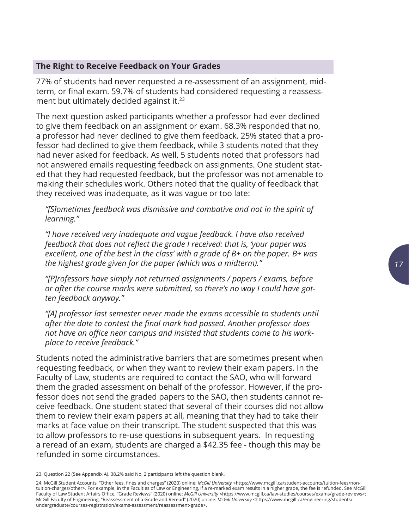#### <span id="page-16-0"></span>**The Right to Receive Feedback on Your Grades**

77% of students had never requested a re-assessment of an assignment, midterm, or final exam. 59.7% of students had considered requesting a reassessment but ultimately decided against it.<sup>23</sup>

The next question asked participants whether a professor had ever declined to give them feedback on an assignment or exam. 68.3% responded that no, a professor had never declined to give them feedback. 25% stated that a professor had declined to give them feedback, while 3 students noted that they had never asked for feedback. As well, 5 students noted that professors had not answered emails requesting feedback on assignments. One student stated that they had requested feedback, but the professor was not amenable to making their schedules work. Others noted that the quality of feedback that they received was inadequate, as it was vague or too late:

*"[S]ometimes feedback was dismissive and combative and not in the spirit of learning."*

*"I have received very inadequate and vague feedback. I have also received feedback that does not reflect the grade I received: that is, 'your paper was excellent, one of the best in the class' with a grade of B+ on the paper. B+ was the highest grade given for the paper (which was a midterm)."*

*"[P]rofessors have simply not returned assignments / papers / exams, before or after the course marks were submitted, so there's no way I could have gotten feedback anyway."*

*"[A] professor last semester never made the exams accessible to students until after the date to contest the final mark had passed. Another professor does not have an office near campus and insisted that students come to his workplace to receive feedback."*

Students noted the administrative barriers that are sometimes present when requesting feedback, or when they want to review their exam papers. In the Faculty of Law, students are required to contact the SAO, who will forward them the graded assessment on behalf of the professor. However, if the professor does not send the graded papers to the SAO, then students cannot receive feedback. One student stated that several of their courses did not allow them to review their exam papers at all, meaning that they had to take their marks at face value on their transcript. The student suspected that this was to allow professors to re-use questions in subsequent years. In requesting a reread of an exam, students are charged a \$42.35 fee - though this may be refunded in some circumstances.

<sup>23.</sup> Question 22 (See Appendix A). 38.2% said No, 2 participants left the question blank.

<sup>24.</sup> McGill Student Accounts, "Other fees, fines and charges" (2020) online: *McGill University* [<https://www.mcgill.ca/student-accounts/tuition-fees/non](https://www.mcgill.ca/student-accounts/tuition-fees/non-tuition-charges/other)[tuition-charges/other](https://www.mcgill.ca/student-accounts/tuition-fees/non-tuition-charges/other)>. For example, in the Faculties of Law or Engineering, if a re-marked exam results in a higher grade, the fee is refunded. See McGill Faculty of Law Student Affairs Office, "Grade Reviews" (2020) online: *McGill University* <<https://www.mcgill.ca/law-studies/courses/exams/grade-reviews>>; McGill Faculty of Engineering, "Reassessment of a Grade and Reread" (2020) online: *McGill University* <[https://www.mcgill.ca/engineering/students/](https://www.mcgill.ca/engineering/students/undergraduate/courses-registration/exams-assessment/reassessment-grade) [undergraduate/courses-registration/exams-assessment/reassessment-grade](https://www.mcgill.ca/engineering/students/undergraduate/courses-registration/exams-assessment/reassessment-grade)>.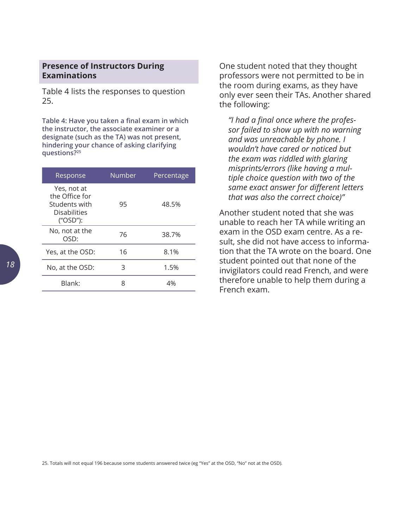#### <span id="page-17-0"></span>**Presence of Instructors During Examinations**

Table 4 lists the responses to question 25.

**Table 4: Have you taken a final exam in which the instructor, the associate examiner or a designate (such as the TA) was not present, hindering your chance of asking clarifying questions?25**

| Response                                                                          | Number | Percentage |
|-----------------------------------------------------------------------------------|--------|------------|
| Yes, not at<br>the Office for<br>Students with<br><b>Disabilities</b><br>("OSD"): | 95     | 48.5%      |
| No, not at the<br>OSD:                                                            | 76     | 38.7%      |
| Yes, at the OSD:                                                                  | 16     | 8.1%       |
| No, at the OSD:                                                                   | 3      | 1.5%       |
| Blank:                                                                            | 8      | 4%         |

One student noted that they thought professors were not permitted to be in the room during exams, as they have only ever seen their TAs. Another shared the following:

*"I had a final once where the professor failed to show up with no warning and was unreachable by phone. I wouldn't have cared or noticed but the exam was riddled with glaring misprints/errors (like having a multiple choice question with two of the same exact answer for different letters that was also the correct choice)"*

Another student noted that she was unable to reach her TA while writing an exam in the OSD exam centre. As a result, she did not have access to information that the TA wrote on the board. One student pointed out that none of the invigilators could read French, and were therefore unable to help them during a French exam.

25. Totals will not equal 196 because some students answered twice (eg "Yes" at the OSD, "No" not at the OSD).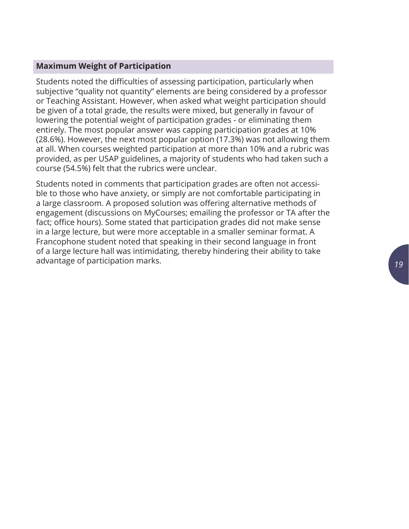#### <span id="page-18-0"></span>**Maximum Weight of Participation**

Students noted the difficulties of assessing participation, particularly when subjective "quality not quantity" elements are being considered by a professor or Teaching Assistant. However, when asked what weight participation should be given of a total grade, the results were mixed, but generally in favour of lowering the potential weight of participation grades - or eliminating them entirely. The most popular answer was capping participation grades at 10% (28.6%). However, the next most popular option (17.3%) was not allowing them at all. When courses weighted participation at more than 10% and a rubric was provided, as per USAP guidelines, a majority of students who had taken such a course (54.5%) felt that the rubrics were unclear.

Students noted in comments that participation grades are often not accessible to those who have anxiety, or simply are not comfortable participating in a large classroom. A proposed solution was offering alternative methods of engagement (discussions on MyCourses; emailing the professor or TA after the fact; office hours). Some stated that participation grades did not make sense in a large lecture, but were more acceptable in a smaller seminar format. A Francophone student noted that speaking in their second language in front of a large lecture hall was intimidating, thereby hindering their ability to take advantage of participation marks.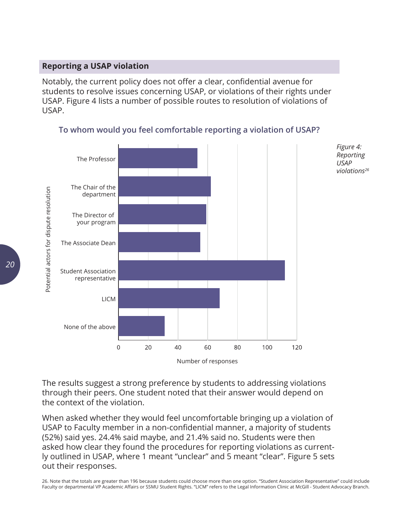#### <span id="page-19-0"></span>**Reporting a USAP violation**

Notably, the current policy does not offer a clear, confidential avenue for students to resolve issues concerning USAP, or violations of their rights under USAP. Figure 4 lists a number of possible routes to resolution of violations of USAP.



#### **To whom would you feel comfortable reporting a violation of USAP?**

The results suggest a strong preference by students to addressing violations through their peers. One student noted that their answer would depend on the context of the violation.

When asked whether they would feel uncomfortable bringing up a violation of USAP to Faculty member in a non-confidential manner, a majority of students (52%) said yes. 24.4% said maybe, and 21.4% said no. Students were then asked how clear they found the procedures for reporting violations as currently outlined in USAP, where 1 meant "unclear" and 5 meant "clear". Figure 5 sets out their responses.

26. Note that the totals are greater than 196 because students could choose more than one option. "Student Association Representative" could include Faculty or departmental VP Academic Affairs or SSMU Student Rights. "LICM" refers to the Legal Information Clinic at McGill - Student Advocacy Branch.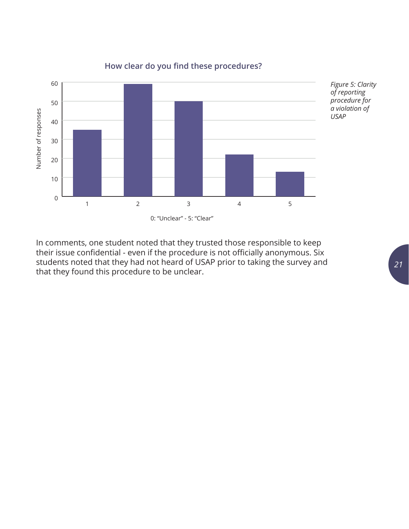

#### **How clear do you find these procedures?**

In comments, one student noted that they trusted those responsible to keep their issue confidential - even if the procedure is not officially anonymous. Six students noted that they had not heard of USAP prior to taking the survey and that they found this procedure to be unclear.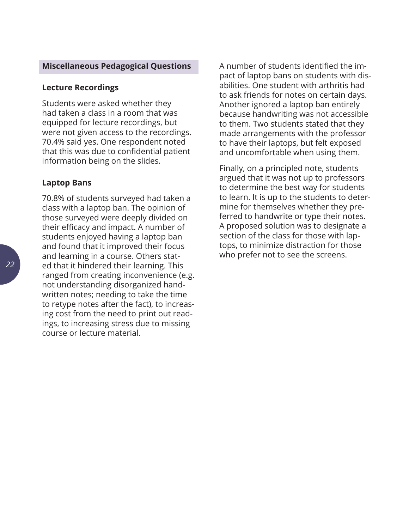#### <span id="page-21-0"></span>**Miscellaneous Pedagogical Questions**

#### **Lecture Recordings**

Students were asked whether they had taken a class in a room that was equipped for lecture recordings, but were not given access to the recordings. 70.4% said yes. One respondent noted that this was due to confidential patient information being on the slides.

#### **Laptop Bans**

70.8% of students surveyed had taken a class with a laptop ban. The opinion of those surveyed were deeply divided on their efficacy and impact. A number of students enjoyed having a laptop ban and found that it improved their focus and learning in a course. Others stated that it hindered their learning. This ranged from creating inconvenience (e.g. not understanding disorganized handwritten notes; needing to take the time to retype notes after the fact), to increasing cost from the need to print out readings, to increasing stress due to missing course or lecture material.

A number of students identified the impact of laptop bans on students with disabilities. One student with arthritis had to ask friends for notes on certain days. Another ignored a laptop ban entirely because handwriting was not accessible to them. Two students stated that they made arrangements with the professor to have their laptops, but felt exposed and uncomfortable when using them.

Finally, on a principled note, students argued that it was not up to professors to determine the best way for students to learn. It is up to the students to determine for themselves whether they preferred to handwrite or type their notes. A proposed solution was to designate a section of the class for those with laptops, to minimize distraction for those who prefer not to see the screens.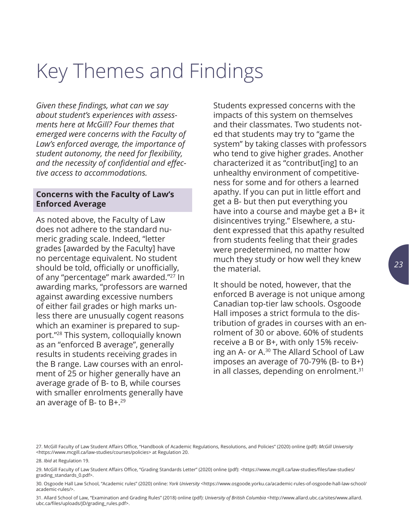# <span id="page-22-0"></span>Key Themes and Findings

*Given these findings, what can we say about student's experiences with assessments here at McGill? Four themes that emerged were concerns with the Faculty of Law's enforced average, the importance of student autonomy, the need for flexibility, and the necessity of confidential and effective access to accommodations.* 

#### **Concerns with the Faculty of Law's Enforced Average**

As noted above, the Faculty of Law does not adhere to the standard numeric grading scale. Indeed, "letter grades [awarded by the Faculty] have no percentage equivalent. No student should be told, officially or unofficially, of any "percentage" mark awarded."27 In awarding marks, "professors are warned against awarding excessive numbers of either fail grades or high marks unless there are unusually cogent reasons which an examiner is prepared to support."28 This system, colloquially known as an "enforced B average", generally results in students receiving grades in the B range. Law courses with an enrolment of 25 or higher generally have an average grade of B- to B, while courses with smaller enrolments generally have an average of B- to B+.29

Students expressed concerns with the impacts of this system on themselves and their classmates. Two students noted that students may try to "game the system" by taking classes with professors who tend to give higher grades. Another characterized it as "contribut[ing] to an unhealthy environment of competitiveness for some and for others a learned apathy. If you can put in little effort and get a B- but then put everything you have into a course and maybe get a B+ it disincentives trying." Elsewhere, a student expressed that this apathy resulted from students feeling that their grades were predetermined, no matter how much they study or how well they knew the material.

It should be noted, however, that the enforced B average is not unique among Canadian top-tier law schools. Osgoode Hall imposes a strict formula to the distribution of grades in courses with an enrolment of 30 or above. 60% of students receive a B or B+, with only 15% receiving an A- or A.30 The Allard School of Law imposes an average of 70-79% (B- to B+) in all classes, depending on enrolment.<sup>31</sup>

28. *Ibid* at Regulation 19.

<sup>27.</sup> McGill Faculty of Law Student Affairs Office, "Handbook of Academic Regulations, Resolutions, and Policies" (2020) online (pdf): *McGill University* [<https://www.mcgill.ca/law-studies/courses/policies](https://www.mcgill.ca/law-studies/courses/policies)> at Regulation 20.

<sup>29.</sup> McGill Faculty of Law Student Affairs Office, "Grading Standards Letter" (2020) online (pdf): [<https://www.mcgill.ca/law-studies/files/law-studies/](https://www.mcgill.ca/law-studies/files/law-studies/grading_standards_0.pdf) [grading\\_standards\\_0.pdf>](https://www.mcgill.ca/law-studies/files/law-studies/grading_standards_0.pdf).

<sup>30.</sup> Osgoode Hall Law School, "Academic rules" (2020) online: *York University* <[https://www.osgoode.yorku.ca/academic-rules-of-osgoode-hall-law-school/](https://www.osgoode.yorku.ca/academic-rules-of-osgoode-hall-law-school/academic-rules/) [academic-rules/>](https://www.osgoode.yorku.ca/academic-rules-of-osgoode-hall-law-school/academic-rules/).

<sup>31.</sup> Allard School of Law, "Examination and Grading Rules" (2018) online (pdf): *University of British Columbia* [<http://www.allard.ubc.ca/sites/www.allard.](http://www.allard.ubc.ca/sites/www.allard.ubc.ca/files/uploads/JD/grading_rules.pdf) [ubc.ca/files/uploads/JD/grading\\_rules.pdf](http://www.allard.ubc.ca/sites/www.allard.ubc.ca/files/uploads/JD/grading_rules.pdf)>.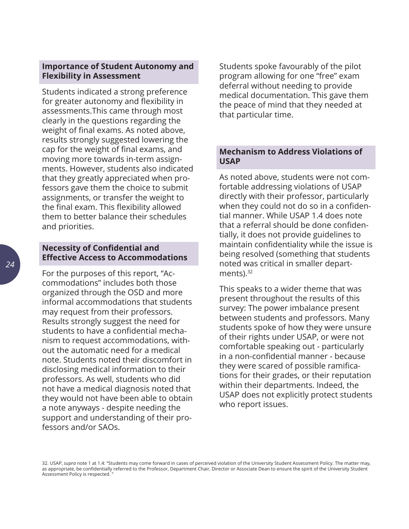#### <span id="page-23-0"></span>**Importance of Student Autonomy and Flexibility in Assessment**

Students indicated a strong preference for greater autonomy and flexibility in assessments.This came through most clearly in the questions regarding the weight of final exams. As noted above, results strongly suggested lowering the cap for the weight of final exams, and moving more towards in-term assignments. However, students also indicated that they greatly appreciated when professors gave them the choice to submit assignments, or transfer the weight to the final exam. This flexibility allowed them to better balance their schedules and priorities.

#### **Necessity of Confidential and Effective Access to Accommodations**

For the purposes of this report, "Accommodations" includes both those organized through the OSD and more informal accommodations that students may request from their professors. Results strongly suggest the need for students to have a confidential mechanism to request accommodations, without the automatic need for a medical note. Students noted their discomfort in disclosing medical information to their professors. As well, students who did not have a medical diagnosis noted that they would not have been able to obtain a note anyways - despite needing the support and understanding of their professors and/or SAOs.

Students spoke favourably of the pilot program allowing for one "free" exam deferral without needing to provide medical documentation. This gave them the peace of mind that they needed at that particular time.

#### **Mechanism to Address Violations of USAP**

As noted above, students were not comfortable addressing violations of USAP directly with their professor, particularly when they could not do so in a confidential manner. While USAP 1.4 does note that a referral should be done confidentially, it does not provide guidelines to maintain confidentiality while the issue is being resolved (something that students noted was critical in smaller departments).<sup>32</sup>

This speaks to a wider theme that was present throughout the results of this survey: The power imbalance present between students and professors. Many students spoke of how they were unsure of their rights under USAP, or were not comfortable speaking out - particularly in a non-confidential manner - because they were scared of possible ramifications for their grades, or their reputation within their departments. Indeed, the USAP does not explicitly protect students who report issues.

32. USAP, *supra* note 1 at 1.4: "Students may come forward in cases of perceived violation of the University Student Assessment Policy. The matter may, as appropriate, be confidentially referred to the Professor, Department Chair, Director or Associate Dean to ensure the spirit of the University Student Assessment Policy is respected. "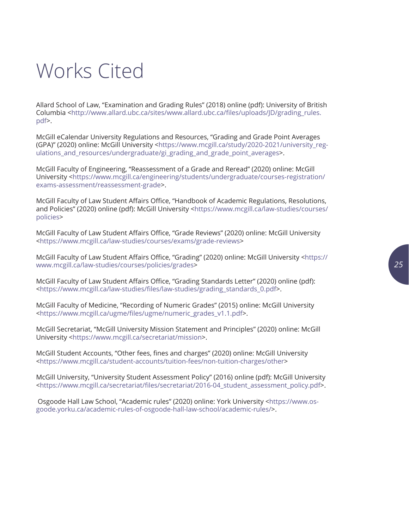#### *25*

# <span id="page-24-0"></span>Works Cited

Allard School of Law, "Examination and Grading Rules" (2018) online (pdf): University of British Columbia <[http://www.allard.ubc.ca/sites/www.allard.ubc.ca/files/uploads/JD/grading\\_rules.](http://www.allard.ubc.ca/sites/www.allard.ubc.ca/files/uploads/JD/grading_rules.pdf) [pdf>](http://www.allard.ubc.ca/sites/www.allard.ubc.ca/files/uploads/JD/grading_rules.pdf).

McGill eCalendar University Regulations and Resources, "Grading and Grade Point Averages (GPA)" (2020) online: McGill University [<https://www.mcgill.ca/study/2020-2021/university\\_reg](https://www.mcgill.ca/study/2020-2021/university_regulations_and_resources/undergraduate/gi_grading_and_grade_point_averages)ulations and resources/undergraduate/gi grading and grade point averages>.

McGill Faculty of Engineering, "Reassessment of a Grade and Reread" (2020) online: McGill University <[https://www.mcgill.ca/engineering/students/undergraduate/courses-registration/](https://www.mcgill.ca/engineering/students/undergraduate/courses-registration/exams-assessment/reassessment-grade) [exams-assessment/reassessment-grade>](https://www.mcgill.ca/engineering/students/undergraduate/courses-registration/exams-assessment/reassessment-grade).

McGill Faculty of Law Student Affairs Office, "Handbook of Academic Regulations, Resolutions, and Policies" (2020) online (pdf): McGill University [<https://www.mcgill.ca/law-studies/courses/](https://www.mcgill.ca/law-studies/courses/policies) [policies>](https://www.mcgill.ca/law-studies/courses/policies)

McGill Faculty of Law Student Affairs Office, "Grade Reviews" (2020) online: McGill University <<https://www.mcgill.ca/law-studies/courses/exams/grade-reviews>>

McGill Faculty of Law Student Affairs Office, "Grading" (2020) online: McGill University <[https://](https://www.mcgill.ca/law-studies/courses/policies/grades) [www.mcgill.ca/law-studies/courses/policies/grades](https://www.mcgill.ca/law-studies/courses/policies/grades)>

McGill Faculty of Law Student Affairs Office, "Grading Standards Letter" (2020) online (pdf): <[https://www.mcgill.ca/law-studies/files/law-studies/grading\\_standards\\_0.pdf](https://www.mcgill.ca/law-studies/files/law-studies/grading_standards_0.pdf)>.

McGill Faculty of Medicine, "Recording of Numeric Grades" (2015) online: McGill University <[https://www.mcgill.ca/ugme/files/ugme/numeric\\_grades\\_v1.1.pdf](https://www.mcgill.ca/ugme/files/ugme/numeric_grades_v1.1.pdf)>.

McGill Secretariat, "McGill University Mission Statement and Principles" (2020) online: McGill University <<https://www.mcgill.ca/secretariat/mission>>.

McGill Student Accounts, "Other fees, fines and charges" (2020) online: McGill University <<https://www.mcgill.ca/student-accounts/tuition-fees/non-tuition-charges/other>>

McGill University, "University Student Assessment Policy" (2016) online (pdf): McGill University <[https://www.mcgill.ca/secretariat/files/secretariat/2016-04\\_student\\_assessment\\_policy.pdf](https://www.mcgill.ca/secretariat/files/secretariat/2016-04_student_assessment_policy.pdf)>.

 Osgoode Hall Law School, "Academic rules" (2020) online: York University [<https://www.os](https://www.osgoode.yorku.ca/academic-rules-of-osgoode-hall-law-school/academic-rules/)[goode.yorku.ca/academic-rules-of-osgoode-hall-law-school/academic-rules/](https://www.osgoode.yorku.ca/academic-rules-of-osgoode-hall-law-school/academic-rules/)>.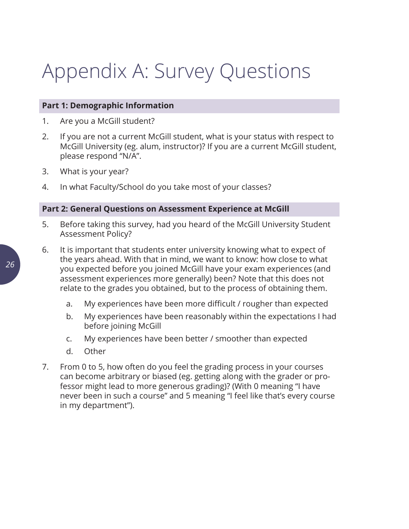# <span id="page-25-0"></span>Appendix A: Survey Questions

#### **Part 1: Demographic Information**

- 1. Are you a McGill student?
- 2. If you are not a current McGill student, what is your status with respect to McGill University (eg. alum, instructor)? If you are a current McGill student, please respond "N/A".
- 3. What is your year?
- 4. In what Faculty/School do you take most of your classes?

#### **Part 2: General Questions on Assessment Experience at McGill**

- 5. Before taking this survey, had you heard of the McGill University Student Assessment Policy?
- 6. It is important that students enter university knowing what to expect of the years ahead. With that in mind, we want to know: how close to what you expected before you joined McGill have your exam experiences (and assessment experiences more generally) been? Note that this does not relate to the grades you obtained, but to the process of obtaining them.
	- a. My experiences have been more difficult / rougher than expected
	- b. My experiences have been reasonably within the expectations I had before joining McGill
	- c. My experiences have been better / smoother than expected
	- d. Other
- 7. From 0 to 5, how often do you feel the grading process in your courses can become arbitrary or biased (eg. getting along with the grader or professor might lead to more generous grading)? (With 0 meaning "I have never been in such a course" and 5 meaning "I feel like that's every course in my department").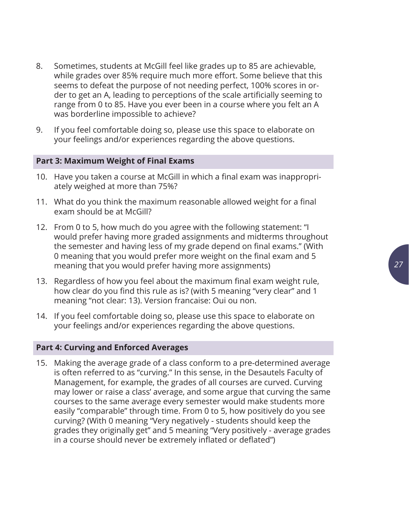- 8. Sometimes, students at McGill feel like grades up to 85 are achievable, while grades over 85% require much more effort. Some believe that this seems to defeat the purpose of not needing perfect, 100% scores in order to get an A, leading to perceptions of the scale artificially seeming to range from 0 to 85. Have you ever been in a course where you felt an A was borderline impossible to achieve?
- 9. If you feel comfortable doing so, please use this space to elaborate on your feelings and/or experiences regarding the above questions.

#### **Part 3: Maximum Weight of Final Exams**

- 10. Have you taken a course at McGill in which a final exam was inappropriately weighed at more than 75%?
- 11. What do you think the maximum reasonable allowed weight for a final exam should be at McGill?
- 12. From 0 to 5, how much do you agree with the following statement: "I would prefer having more graded assignments and midterms throughout the semester and having less of my grade depend on final exams." (With 0 meaning that you would prefer more weight on the final exam and 5 meaning that you would prefer having more assignments)
- 13. Regardless of how you feel about the maximum final exam weight rule, how clear do you find this rule as is? (with 5 meaning "very clear" and 1 meaning "not clear: 13). Version francaise: Oui ou non.
- 14. If you feel comfortable doing so, please use this space to elaborate on your feelings and/or experiences regarding the above questions.

#### **Part 4: Curving and Enforced Averages**

15. Making the average grade of a class conform to a pre-determined average is often referred to as "curving." In this sense, in the Desautels Faculty of Management, for example, the grades of all courses are curved. Curving may lower or raise a class' average, and some argue that curving the same courses to the same average every semester would make students more easily "comparable" through time. From 0 to 5, how positively do you see curving? (With 0 meaning "Very negatively - students should keep the grades they originally get" and 5 meaning "Very positively - average grades in a course should never be extremely inflated or deflated")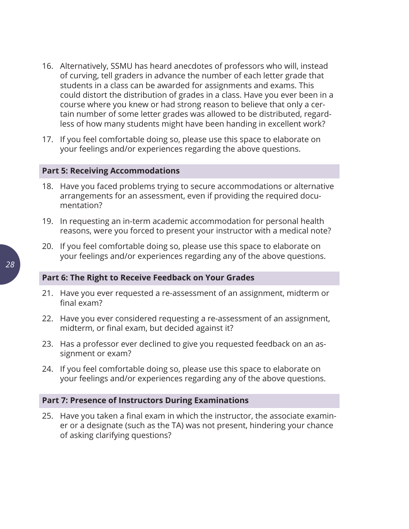- 16. Alternatively, SSMU has heard anecdotes of professors who will, instead of curving, tell graders in advance the number of each letter grade that students in a class can be awarded for assignments and exams. This could distort the distribution of grades in a class. Have you ever been in a course where you knew or had strong reason to believe that only a certain number of some letter grades was allowed to be distributed, regardless of how many students might have been handing in excellent work?
- 17. If you feel comfortable doing so, please use this space to elaborate on your feelings and/or experiences regarding the above questions.

#### **Part 5: Receiving Accommodations**

- 18. Have you faced problems trying to secure accommodations or alternative arrangements for an assessment, even if providing the required documentation?
- 19. In requesting an in-term academic accommodation for personal health reasons, were you forced to present your instructor with a medical note?
- 20. If you feel comfortable doing so, please use this space to elaborate on your feelings and/or experiences regarding any of the above questions.

#### **Part 6: The Right to Receive Feedback on Your Grades**

- 21. Have you ever requested a re-assessment of an assignment, midterm or final exam?
- 22. Have you ever considered requesting a re-assessment of an assignment, midterm, or final exam, but decided against it?
- 23. Has a professor ever declined to give you requested feedback on an assignment or exam?
- 24. If you feel comfortable doing so, please use this space to elaborate on your feelings and/or experiences regarding any of the above questions.

#### **Part 7: Presence of Instructors During Examinations**

25. Have you taken a final exam in which the instructor, the associate examiner or a designate (such as the TA) was not present, hindering your chance of asking clarifying questions?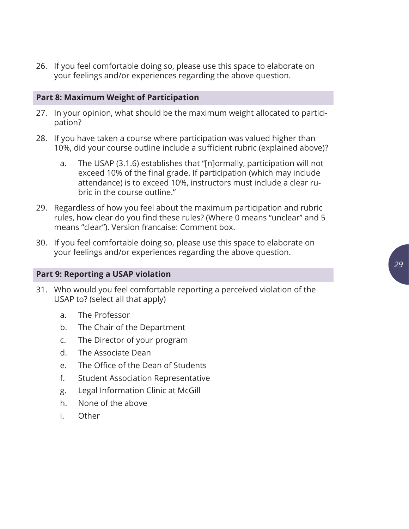26. If you feel comfortable doing so, please use this space to elaborate on your feelings and/or experiences regarding the above question.

#### **Part 8: Maximum Weight of Participation**

- 27. In your opinion, what should be the maximum weight allocated to participation?
- 28. If you have taken a course where participation was valued higher than 10%, did your course outline include a sufficient rubric (explained above)?
	- a. The USAP (3.1.6) establishes that "[n]ormally, participation will not exceed 10% of the final grade. If participation (which may include attendance) is to exceed 10%, instructors must include a clear rubric in the course outline."
- 29. Regardless of how you feel about the maximum participation and rubric rules, how clear do you find these rules? (Where 0 means "unclear" and 5 means "clear"). Version francaise: Comment box.
- 30. If you feel comfortable doing so, please use this space to elaborate on your feelings and/or experiences regarding the above question.

#### **Part 9: Reporting a USAP violation**

- 31. Who would you feel comfortable reporting a perceived violation of the USAP to? (select all that apply)
	- a. The Professor
	- b. The Chair of the Department
	- c. The Director of your program
	- d. The Associate Dean
	- e. The Office of the Dean of Students
	- f. Student Association Representative
	- g. Legal Information Clinic at McGill
	- h. None of the above
	- i. Other